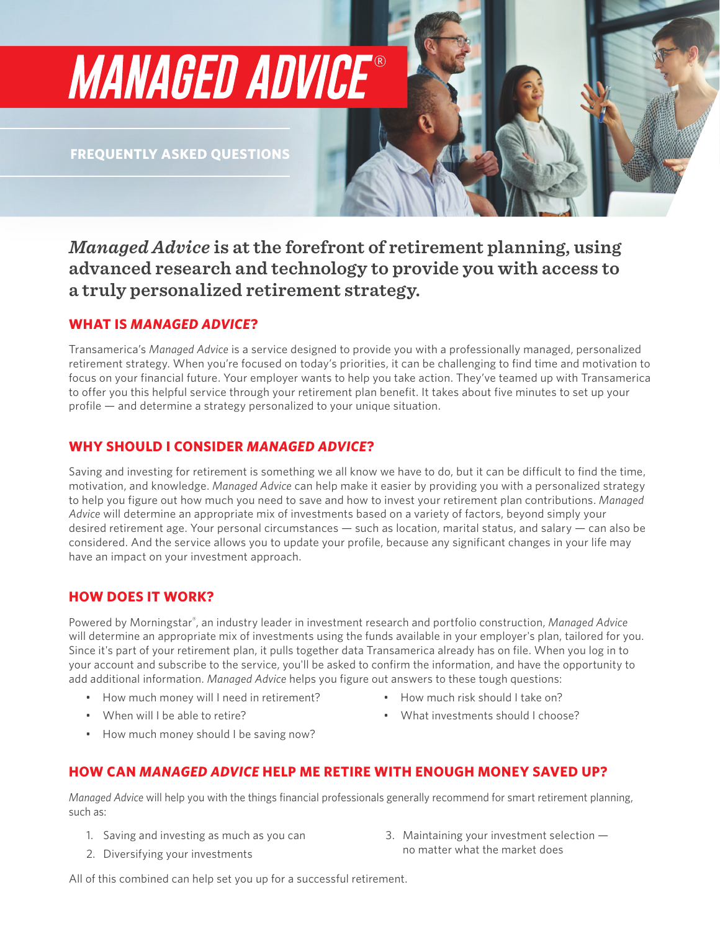# **MANAGED ADVICE®**

 **FREQUENTLY ASKED QUESTIONS**

# *Managed Advice* **is at the forefront of retirement planning, using advanced research and technology to provide you with access to a truly personalized retirement strategy.**

## **WHAT IS** *MANAGED ADVICE***?**

Transamerica's *Managed Advice* is a service designed to provide you with a professionally managed, personalized retirement strategy. When you're focused on today's priorities, it can be challenging to find time and motivation to focus on your financial future. Your employer wants to help you take action. They've teamed up with Transamerica to offer you this helpful service through your retirement plan benefit. It takes about five minutes to set up your profile — and determine a strategy personalized to your unique situation.

## **WHY SHOULD I CONSIDER** *MANAGED ADVICE***?**

Saving and investing for retirement is something we all know we have to do, but it can be difficult to find the time, motivation, and knowledge. *Managed Advice* can help make it easier by providing you with a personalized strategy to help you figure out how much you need to save and how to invest your retirement plan contributions. *Managed Advice* will determine an appropriate mix of investments based on a variety of factors, beyond simply your desired retirement age. Your personal circumstances — such as location, marital status, and salary — can also be considered. And the service allows you to update your profile, because any significant changes in your life may have an impact on your investment approach.

#### **HOW DOES IT WORK?**

Powered by Morningstar*®*, an industry leader in investment research and portfolio construction, *Managed Advice* will determine an appropriate mix of investments using the funds available in your employer's plan, tailored for you. Since it's part of your retirement plan, it pulls together data Transamerica already has on file. When you log in to your account and subscribe to the service, you'll be asked to confirm the information, and have the opportunity to add additional information. *Managed Advice* helps you figure out answers to these tough questions:

- How much money will I need in retirement?
- How much risk should I take on?

• When will I be able to retire?

- What investments should I choose?
- How much money should I be saving now?

# **HOW CAN** *MANAGED ADVICE* **HELP ME RETIRE WITH ENOUGH MONEY SAVED UP?**

*Managed Advice* will help you with the things financial professionals generally recommend for smart retirement planning, such as:

- 1. Saving and investing as much as you can
- 2. Diversifying your investments

3. Maintaining your investment selection no matter what the market does

All of this combined can help set you up for a successful retirement.